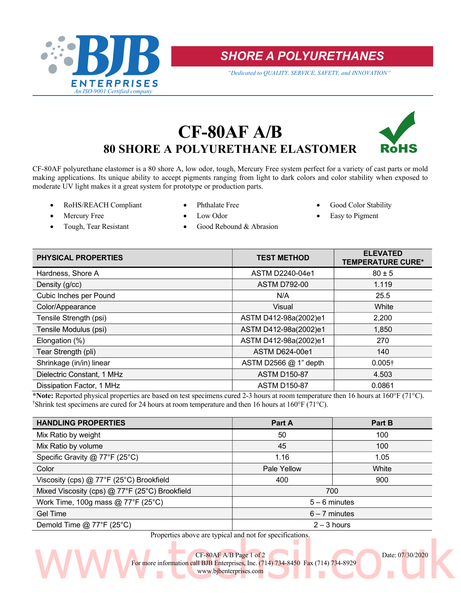

SHORE A POLYURETHANES

"Dedicated to QUALITY, SERVICE, SAFETY, and INNOVATION"

# CF-80AF A/B 80 SHORE A POLYURETHANE ELASTOMER



CF-80AF polyurethane elastomer is a 80 shore A, low odor, tough, Mercury Free system perfect for a variety of cast parts or mold making applications. Its unique ability to accept pigments ranging from light to dark colors and color stability when exposed to moderate UV light makes it a great system for prototype or production parts.

- RoHS/REACH Compliant Phthalate Free Good Color Stability
	-

- - Mercury Free Low Odor Low Odor Easy to Pigment
- 
- 
- Tough, Tear Resistant Good Rebound & Abrasion
- PHYSICAL PROPERTIES ELEVATED TEST METHOD ELEVATED TEMPERATURE CURE\* Hardness, Shore A  $\overline{80 \pm 5}$ Density (g/cc) 1.119 Cubic Inches per Pound N/A 25.5 Color/Appearance Visual White Tensile Strength (psi) ASTM D412-98a(2002)e1 2,200 Tensile Modulus (psi) ASTM D412-98a(2002)e1 1,850 Elongation (%) ASTM D412-98a(2002)e1 270 Tear Strength (pli) 140 Shrinkage (in/in) linear  $\begin{array}{|c|c|c|c|c|}\n\hline\n\text{Shrinkage (in/in) linear} & & \text{ASTM D2566 @ 1" depth} & & 0.005\text{?} \end{array}$ Dielectric Constant, 1 MHz ASTM D150-87 2.503 Dissipation Factor, 1 MHz ASTM D150-87 0.0861

\*Note: Reported physical properties are based on test specimens cured 2-3 hours at room temperature then 16 hours at 160°F (71°C). <sup>†</sup>Shrink test specimens are cured for 24 hours at room temperature and then 16 hours at 160 $\degree$ F (71 $\degree$ C).

| <b>HANDLING PROPERTIES</b>                     | Part A          | Part B |
|------------------------------------------------|-----------------|--------|
| Mix Ratio by weight                            | 50              | 100    |
| Mix Ratio by volume                            | 45              | 100    |
| Specific Gravity @ 77°F (25°C)                 | 1.16            | 1.05   |
| Color                                          | Pale Yellow     | White  |
| Viscosity (cps) $@$ 77°F (25°C) Brookfield     | 400             | 900    |
| Mixed Viscosity (cps) @ 77°F (25°C) Brookfield | 700             |        |
| Work Time, 100g mass $@$ 77°F (25°C)           | $5 - 6$ minutes |        |
| <b>Gel Time</b>                                | $6 - 7$ minutes |        |
| Demold Time $@$ 77°F (25°C)                    | $2 - 3$ hours   |        |

Properties above are typical and not for specifications.

The CF-80AF A/B Page 1 of 2<br>
Enterprises, Inc. (714) 734-8450 Fax (714) 734-8929<br>
WWW.bjbenterprises.com CF-80AF A/B Page 1 of 2 Date: 07/30/2020 For more information call BJB Enterprises, Inc. (714) 734-8450 Fax (714) 734-8929

www.bjbenterprises.com